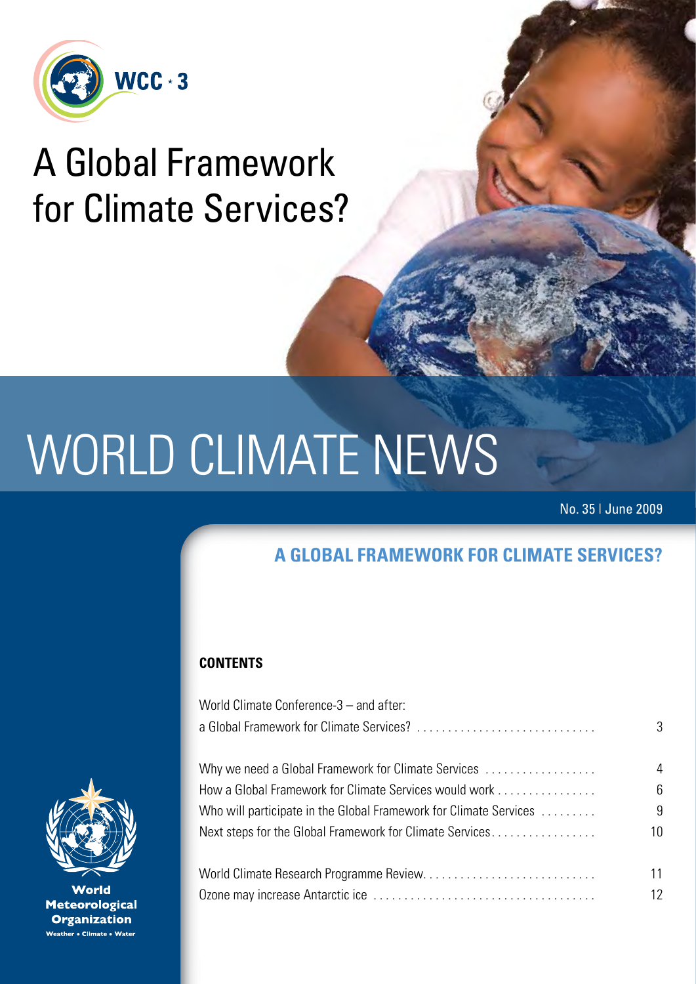

## A Global Framework for Climate Services?

# WORLD CLIMATE NEWS

No. 35 | June 2009

### **A global framework for climate services?**

#### **CONTENTS**

| World Climate Conference-3 – and after:                           |    |
|-------------------------------------------------------------------|----|
|                                                                   | 3  |
|                                                                   | 4  |
| Why we need a Global Framework for Climate Services               |    |
| How a Global Framework for Climate Services would work            | 6  |
| Who will participate in the Global Framework for Climate Services | 9  |
| Next steps for the Global Framework for Climate Services          | 10 |
|                                                                   | 11 |
|                                                                   | 12 |



World **Meteorological Organization** leather e Climate e Water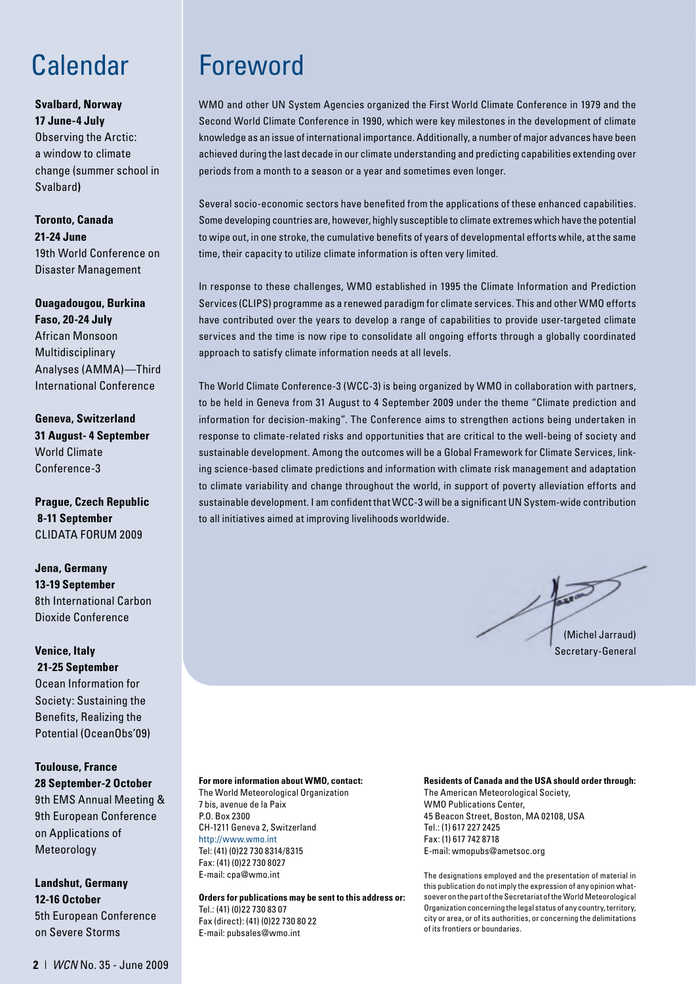#### **Svalbard, Norway**

**17 June-4 July**  Observing the Arctic: a window to climate change (summer school in Svalbard**)**

#### **Toronto, Canada 21-24 June**  19th World Conference on Disaster Management

**Ouagadougou, Burkina Faso, 20-24 July**  African Monsoon Multidisciplinary Analyses (AMMA)—Third International Conference

**Geneva, Switzerland 31 August- 4 September** World Climate Conference-3

**Prague, Czech Republic 8-11 September**  CLIDATA FORUM 2009

**Jena, Germany 13-19 September**  8th International Carbon Dioxide Conference

**Venice, Italy 21-25 September** Ocean Information for Society: Sustaining the Benefits, Realizing the Potential (OceanObs'09)

**Toulouse, France 28 September-2 October** 

9th EMS Annual Meeting & 9th European Conference on Applications of Meteorology

**Landshut, Germany 12-16 October**  5th European Conference on Severe Storms

## Calendar Foreword

WMO and other UN System Agencies organized the First World Climate Conference in 1979 and the Second World Climate Conference in 1990, which were key milestones in the development of climate knowledge as an issue of international importance. Additionally, a number of major advances have been achieved during the last decade in our climate understanding and predicting capabilities extending over periods from a month to a season or a year and sometimes even longer.

Several socio-economic sectors have benefited from the applications of these enhanced capabilities. Some developing countries are, however, highly susceptible to climate extremes which have the potential to wipe out, in one stroke, the cumulative benefits of years of developmental efforts while, at the same time, their capacity to utilize climate information is often very limited.

In response to these challenges, WMO established in 1995 the Climate Information and Prediction Services (CLIPS) programme as a renewed paradigm for climate services. This and other WMO efforts have contributed over the years to develop a range of capabilities to provide user-targeted climate services and the time is now ripe to consolidate all ongoing efforts through a globally coordinated approach to satisfy climate information needs at all levels.

The World Climate Conference-3 (WCC-3) is being organized by WMO in collaboration with partners, to be held in Geneva from 31 August to 4 September 2009 under the theme "Climate prediction and information for decision-making". The Conference aims to strengthen actions being undertaken in response to climate-related risks and opportunities that are critical to the well-being of society and sustainable development. Among the outcomes will be a Global Framework for Climate Services, linking science-based climate predictions and information with climate risk management and adaptation to climate variability and change throughout the world, in support of poverty alleviation efforts and sustainable development. I am confident that WCC-3 will be a significant UN System-wide contribution to all initiatives aimed at improving livelihoods worldwide.

 $\overline{3}$ (Michel Jarraud) Secretary-General

#### **For more information about WMO, contact:**

The World Meteorological Organization 7 bis, avenue de la Paix P.O. Box 2300 CH-1211 Geneva 2, Switzerland http://www.wmo.int Tel: (41) (0)22 730 8314/8315 Fax: (41) (0)22 730 8027 E-mail: cpa@wmo.int

E-mail: pubsales@wmo.int

**Orders for publications may be sent to this address or:** Tel.: (41) (0)22 730 83 07 Fax (direct): (41) (0)22 730 80 22

#### **Residents of Canada and the USA should order through:**

The American Meteorological Society, WMO Publications Center, 45 Beacon Street, Boston, MA 02108, USA Tel.: (1) 617 227 2425 Fax: (1) 617 742 8718 E-mail: wmopubs@ametsoc.org

The designations employed and the presentation of material in this publication do not imply the expression of any opinion whatsoever on the part of the Secretariat of the World Meteorological Organization concerning the legal status of any country, territory, city or area, or of its authorities, or concerning the delimitations of its frontiers or boundaries.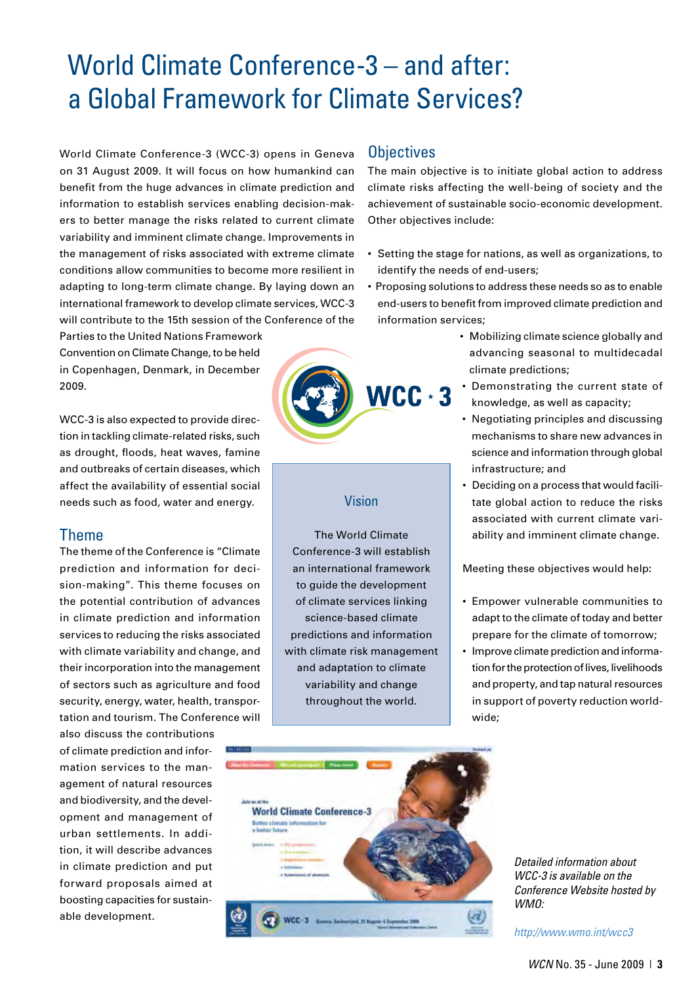## World Climate Conference-3 – and after: a Global Framework for Climate Services?

World Climate Conference-3 (WCC-3) opens in Geneva on 31 August 2009. It will focus on how humankind can benefit from the huge advances in climate prediction and information to establish services enabling decision-makers to better manage the risks related to current climate variability and imminent climate change. Improvements in the management of risks associated with extreme climate conditions allow communities to become more resilient in adapting to long-term climate change. By laying down an international framework to develop climate services, WCC-3 will contribute to the 15th session of the Conference of the

Parties to the United Nations Framework Convention on Climate Change, to be held in Copenhagen, Denmark, in December 2009.

WCC-3 is also expected to provide direction in tackling climate-related risks, such as drought, floods, heat waves, famine and outbreaks of certain diseases, which affect the availability of essential social needs such as food, water and energy.

#### Theme

The theme of the Conference is "Climate prediction and information for decision-making". This theme focuses on the potential contribution of advances in climate prediction and information services to reducing the risks associated with climate variability and change, and their incorporation into the management of sectors such as agriculture and food security, energy, water, health, transportation and tourism. The Conference will

also discuss the contributions of climate prediction and information services to the management of natural resources and biodiversity, and the development and management of urban settlements. In addition, it will describe advances in climate prediction and put forward proposals aimed at boosting capacities for sustainable development.

#### **Objectives**

The main objective is to initiate global action to address climate risks affecting the well-being of society and the achievement of sustainable socio-economic development. Other objectives include:

- Setting the stage for nations, as well as organizations, to identify the needs of end-users;
- Proposing solutions to address these needs so as to enable end-users to benefit from improved climate prediction and information services;
	- Mobilizing climate science globally and advancing seasonal to multidecadal climate predictions;
	- Demonstrating the current state of knowledge, as well as capacity;
	- Negotiating principles and discussing mechanisms to share new advances in science and information through global infrastructure; and
	- Deciding on a process that would facilitate global action to reduce the risks associated with current climate variability and imminent climate change.

Meeting these objectives would help:

- Empower vulnerable communities to adapt to the climate of today and better prepare for the climate of tomorrow;
- Improve climate prediction and information for the protection of lives, livelihoods and property, and tap natural resources in support of poverty reduction worldwide;



#### Vision

The World Climate Conference-3 will establish an international framework to guide the development of climate services linking science-based climate predictions and information with climate risk management and adaptation to climate variability and change throughout the world.



*Detailed information about WCC-3 is available on the Conference Website hosted by WMO:*

*http://www.wmo.int/wcc3*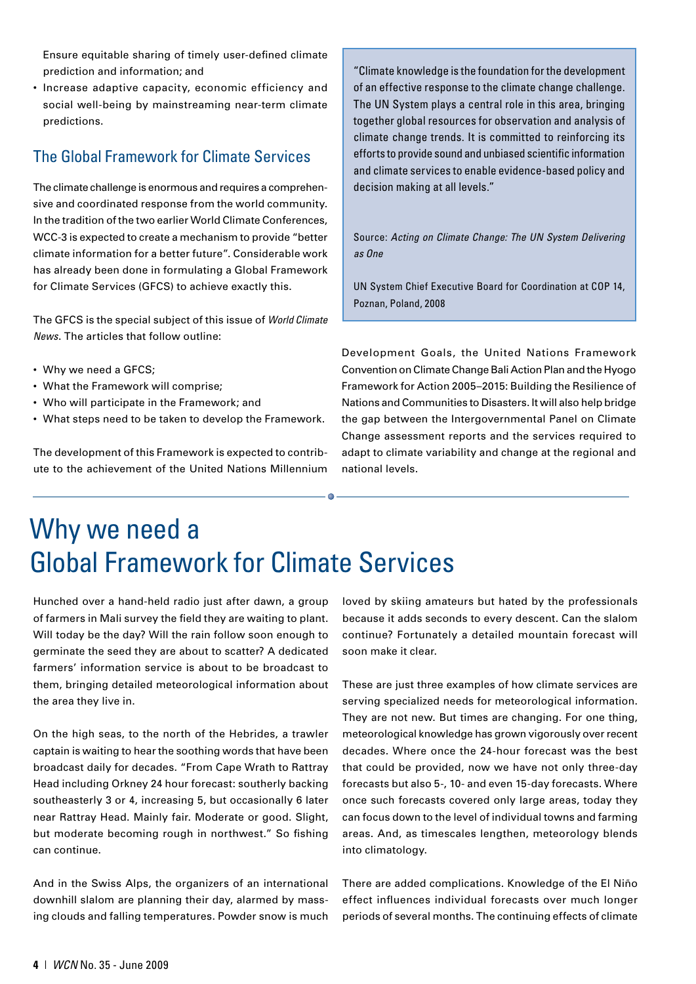Ensure equitable sharing of timely user-defined climate prediction and information; and

• Increase adaptive capacity, economic efficiency and social well-being by mainstreaming near-term climate predictions.

#### The Global Framework for Climate Services

The climate challenge is enormous and requires a comprehensive and coordinated response from the world community. In the tradition of the two earlier World Climate Conferences, WCC-3 is expected to create a mechanism to provide "better climate information for a better future". Considerable work has already been done in formulating a Global Framework for Climate Services (GFCS) to achieve exactly this.

The GFCS is the special subject of this issue of *World Climate News*. The articles that follow outline:

- Why we need a GFCS;
- What the Framework will comprise;
- Who will participate in the Framework; and
- What steps need to be taken to develop the Framework.

The development of this Framework is expected to contribute to the achievement of the United Nations Millennium

"Climate knowledge is the foundation for the development of an effective response to the climate change challenge. The UN System plays a central role in this area, bringing together global resources for observation and analysis of climate change trends. It is committed to reinforcing its efforts to provide sound and unbiased scientific information and climate services to enable evidence-based policy and decision making at all levels."

Source: *Acting on Climate Change: The UN System Delivering as One*

UN System Chief Executive Board for Coordination at COP 14, Poznan, Poland, 2008

Development Goals, the United Nations Framework Convention on Climate Change Bali Action Plan and the Hyogo Framework for Action 2005–2015: Building the Resilience of Nations and Communities to Disasters. It will also help bridge the gap between the Intergovernmental Panel on Climate Change assessment reports and the services required to adapt to climate variability and change at the regional and national levels.

## Why we need a Global Framework for Climate Services

Hunched over a hand-held radio just after dawn, a group of farmers in Mali survey the field they are waiting to plant. Will today be the day? Will the rain follow soon enough to germinate the seed they are about to scatter? A dedicated farmers' information service is about to be broadcast to them, bringing detailed meteorological information about the area they live in.

On the high seas, to the north of the Hebrides, a trawler captain is waiting to hear the soothing words that have been broadcast daily for decades. "From Cape Wrath to Rattray Head including Orkney 24 hour forecast: southerly backing southeasterly 3 or 4, increasing 5, but occasionally 6 later near Rattray Head. Mainly fair. Moderate or good. Slight, but moderate becoming rough in northwest." So fishing can continue.

And in the Swiss Alps, the organizers of an international downhill slalom are planning their day, alarmed by massing clouds and falling temperatures. Powder snow is much

loved by skiing amateurs but hated by the professionals because it adds seconds to every descent. Can the slalom continue? Fortunately a detailed mountain forecast will soon make it clear.

These are just three examples of how climate services are serving specialized needs for meteorological information. They are not new. But times are changing. For one thing, meteorological knowledge has grown vigorously over recent decades. Where once the 24-hour forecast was the best that could be provided, now we have not only three-day forecasts but also 5-, 10- and even 15-day forecasts. Where once such forecasts covered only large areas, today they can focus down to the level of individual towns and farming areas. And, as timescales lengthen, meteorology blends into climatology.

There are added complications. Knowledge of the El Niño effect influences individual forecasts over much longer periods of several months. The continuing effects of climate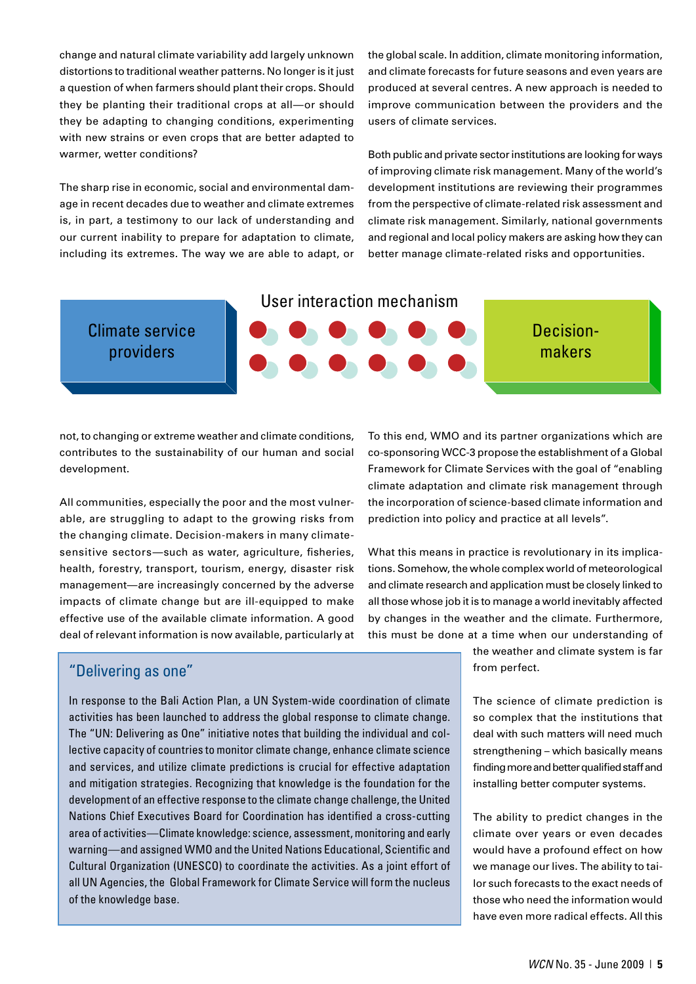change and natural climate variability add largely unknown distortions to traditional weather patterns. No longer is it just a question of when farmers should plant their crops. Should they be planting their traditional crops at all—or should they be adapting to changing conditions, experimenting with new strains or even crops that are better adapted to warmer, wetter conditions?

The sharp rise in economic, social and environmental damage in recent decades due to weather and climate extremes is, in part, a testimony to our lack of understanding and our current inability to prepare for adaptation to climate, including its extremes. The way we are able to adapt, or the global scale. In addition, climate monitoring information, and climate forecasts for future seasons and even years are produced at several centres. A new approach is needed to improve communication between the providers and the users of climate services.

Both public and private sector institutions are looking for ways of improving climate risk management. Many of the world's development institutions are reviewing their programmes from the perspective of climate-related risk assessment and climate risk management. Similarly, national governments and regional and local policy makers are asking how they can better manage climate-related risks and opportunities.



#### Climate service providers



Decisionmakers

not, to changing or extreme weather and climate conditions, contributes to the sustainability of our human and social development.

All communities, especially the poor and the most vulnerable, are struggling to adapt to the growing risks from the changing climate. Decision-makers in many climatesensitive sectors—such as water, agriculture, fisheries, health, forestry, transport, tourism, energy, disaster risk management—are increasingly concerned by the adverse impacts of climate change but are ill-equipped to make effective use of the available climate information. A good deal of relevant information is now available, particularly at

To this end, WMO and its partner organizations which are co-sponsoring WCC-3 propose the establishment of a Global Framework for Climate Services with the goal of "enabling climate adaptation and climate risk management through the incorporation of science-based climate information and prediction into policy and practice at all levels".

What this means in practice is revolutionary in its implications. Somehow, the whole complex world of meteorological and climate research and application must be closely linked to all those whose job it is to manage a world inevitably affected by changes in the weather and the climate. Furthermore, this must be done at a time when our understanding of

#### "Delivering as one"

In response to the Bali Action Plan, a UN System-wide coordination of climate activities has been launched to address the global response to climate change. The "UN: Delivering as One" initiative notes that building the individual and collective capacity of countries to monitor climate change, enhance climate science and services, and utilize climate predictions is crucial for effective adaptation and mitigation strategies. Recognizing that knowledge is the foundation for the development of an effective response to the climate change challenge, the United Nations Chief Executives Board for Coordination has identified a cross-cutting area of activities—Climate knowledge: science, assessment, monitoring and early warning—and assigned WMO and the United Nations Educational, Scientific and Cultural Organization (UNESCO) to coordinate the activities. As a joint effort of all UN Agencies, the Global Framework for Climate Service will form the nucleus of the knowledge base.

the weather and climate system is far from perfect.

The science of climate prediction is so complex that the institutions that deal with such matters will need much strengthening – which basically means finding more and better qualified staff and installing better computer systems.

The ability to predict changes in the climate over years or even decades would have a profound effect on how we manage our lives. The ability to tailor such forecasts to the exact needs of those who need the information would have even more radical effects. All this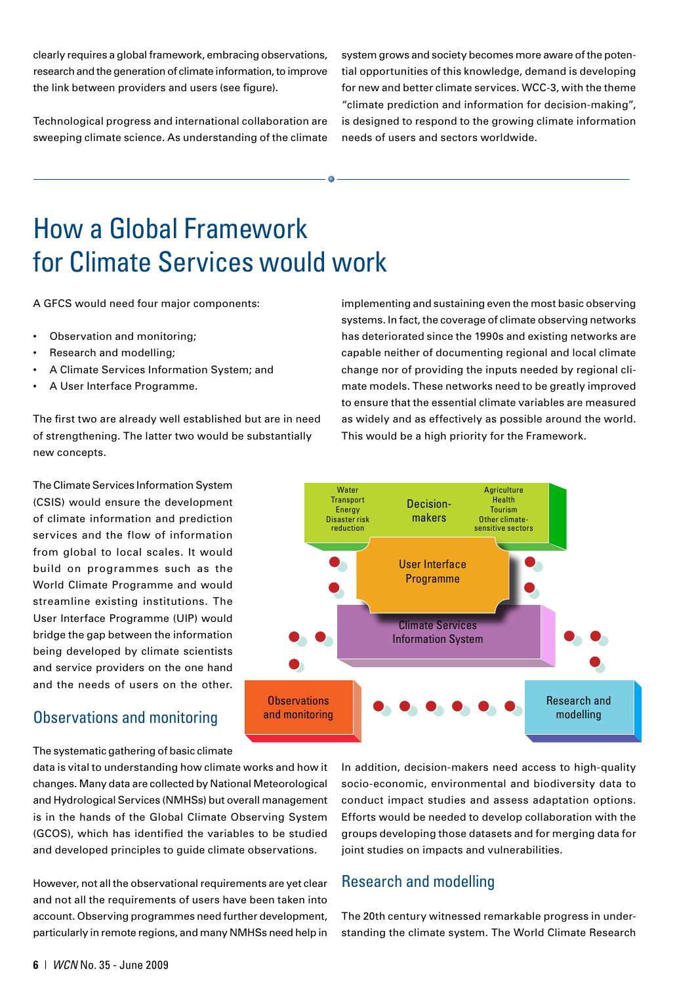clearly requires a global framework, embracing observations, research and the generation of climate information, to improve the link between providers and users (see figure).

Technological progress and international collaboration are sweeping climate science. As understanding of the climate system grows and society becomes more aware of the potential opportunities of this knowledge, demand is developing for new and better climate services. WCC-3, with the theme "climate prediction and information for decision-making", is designed to respond to the growing climate information needs of users and sectors worldwide.

## How a Global Framework for Climate Services would work

A GFCS would need four major components:

- Observation and monitoring;
- Research and modelling;
- A Climate Services Information System; and
- A User Interface Programme.

The first two are already well established but are in need of strengthening. The latter two would be substantially new concepts.

The Climate Services Information System (CSIS) would ensure the development of climate information and prediction services and the flow of information from global to local scales. It would build on programmes such as the World Climate Programme and would streamline existing institutions. The User Interface Programme (UIP) would bridge the gap between the information being developed by climate scientists and service providers on the one hand and the needs of users on the other.

#### Observations and monitoring

The systematic gathering of basic climate

data is vital to understanding how climate works and how it changes. Many data are collected by National Meteorological and Hydrological Services (NMHSs) but overall management is in the hands of the Global Climate Observing System (GCOS), which has identified the variables to be studied and developed principles to guide climate observations.

However, not all the observational requirements are yet clear and not all the requirements of users have been taken into account. Observing programmes need further development, particularly in remote regions, and many NMHSs need help in implementing and sustaining even the most basic observing systems. In fact, the coverage of climate observing networks has deteriorated since the 1990s and existing networks are capable neither of documenting regional and local climate change nor of providing the inputs needed by regional climate models. These networks need to be greatly improved to ensure that the essential climate variables are measured as widely and as effectively as possible around the world. This would be a high priority for the Framework.



In addition, decision-makers need access to high-quality socio-economic, environmental and biodiversity data to conduct impact studies and assess adaptation options. Efforts would be needed to develop collaboration with the groups developing those datasets and for merging data for joint studies on impacts and vulnerabilities.

#### Research and modelling

The 20th century witnessed remarkable progress in understanding the climate system. The World Climate Research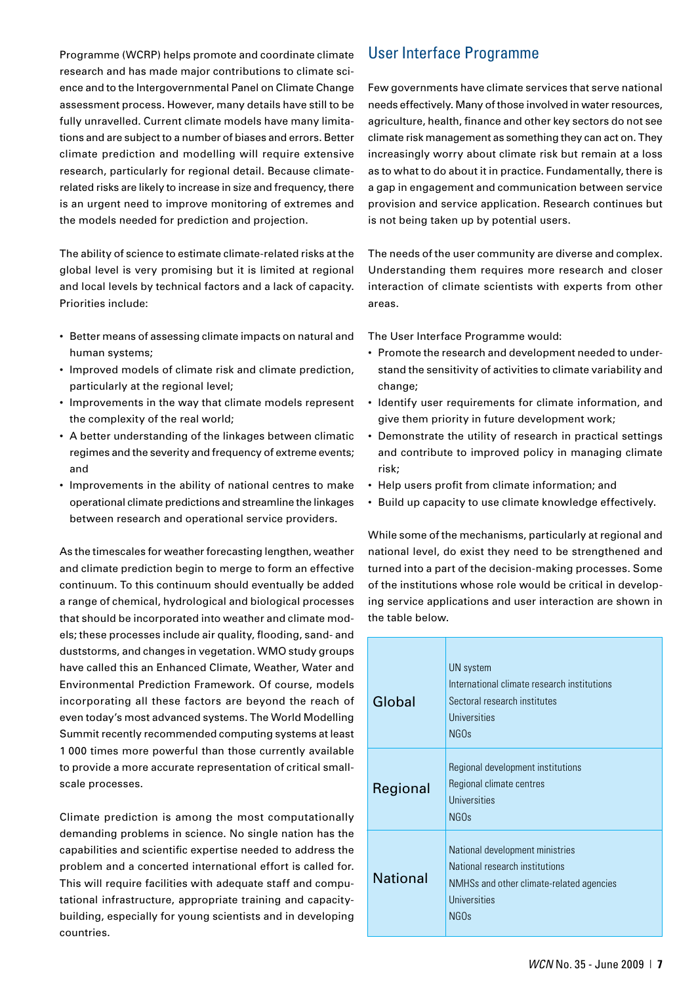Programme (WCRP) helps promote and coordinate climate research and has made major contributions to climate science and to the Intergovernmental Panel on Climate Change assessment process. However, many details have still to be fully unravelled. Current climate models have many limitations and are subject to a number of biases and errors. Better climate prediction and modelling will require extensive research, particularly for regional detail. Because climaterelated risks are likely to increase in size and frequency, there is an urgent need to improve monitoring of extremes and the models needed for prediction and projection.

The ability of science to estimate climate-related risks at the global level is very promising but it is limited at regional and local levels by technical factors and a lack of capacity. Priorities include:

- Better means of assessing climate impacts on natural and human systems;
- Improved models of climate risk and climate prediction, particularly at the regional level;
- Improvements in the way that climate models represent the complexity of the real world;
- A better understanding of the linkages between climatic regimes and the severity and frequency of extreme events; and
- Improvements in the ability of national centres to make operational climate predictions and streamline the linkages between research and operational service providers.

As the timescales for weather forecasting lengthen, weather and climate prediction begin to merge to form an effective continuum. To this continuum should eventually be added a range of chemical, hydrological and biological processes that should be incorporated into weather and climate models; these processes include air quality, flooding, sand- and duststorms, and changes in vegetation. WMO study groups have called this an Enhanced Climate, Weather, Water and Environmental Prediction Framework. Of course, models incorporating all these factors are beyond the reach of even today's most advanced systems. The World Modelling Summit recently recommended computing systems at least 1 000 times more powerful than those currently available to provide a more accurate representation of critical smallscale processes.

Climate prediction is among the most computationally demanding problems in science. No single nation has the capabilities and scientific expertise needed to address the problem and a concerted international effort is called for. This will require facilities with adequate staff and computational infrastructure, appropriate training and capacitybuilding, especially for young scientists and in developing countries.

#### User Interface Programme

Few governments have climate services that serve national needs effectively. Many of those involved in water resources, agriculture, health, finance and other key sectors do not see climate risk management as something they can act on. They increasingly worry about climate risk but remain at a loss as to what to do about it in practice. Fundamentally, there is a gap in engagement and communication between service provision and service application. Research continues but is not being taken up by potential users.

The needs of the user community are diverse and complex. Understanding them requires more research and closer interaction of climate scientists with experts from other areas.

The User Interface Programme would:

- Promote the research and development needed to understand the sensitivity of activities to climate variability and change;
- Identify user requirements for climate information, and give them priority in future development work;
- Demonstrate the utility of research in practical settings and contribute to improved policy in managing climate risk;
- Help users profit from climate information; and
- Build up capacity to use climate knowledge effectively.

While some of the mechanisms, particularly at regional and national level, do exist they need to be strengthened and turned into a part of the decision-making processes. Some of the institutions whose role would be critical in developing service applications and user interaction are shown in the table below.

| Global          | UN system<br>International climate research institutions<br>Sectoral research institutes<br>Universities<br>NGOs                                  |
|-----------------|---------------------------------------------------------------------------------------------------------------------------------------------------|
| Regional        | Regional development institutions<br>Regional climate centres<br>Universities<br>NGO <sub>s</sub>                                                 |
| <b>National</b> | National development ministries<br>National research institutions<br>NMHSs and other climate-related agencies<br>Universities<br>NGO <sub>s</sub> |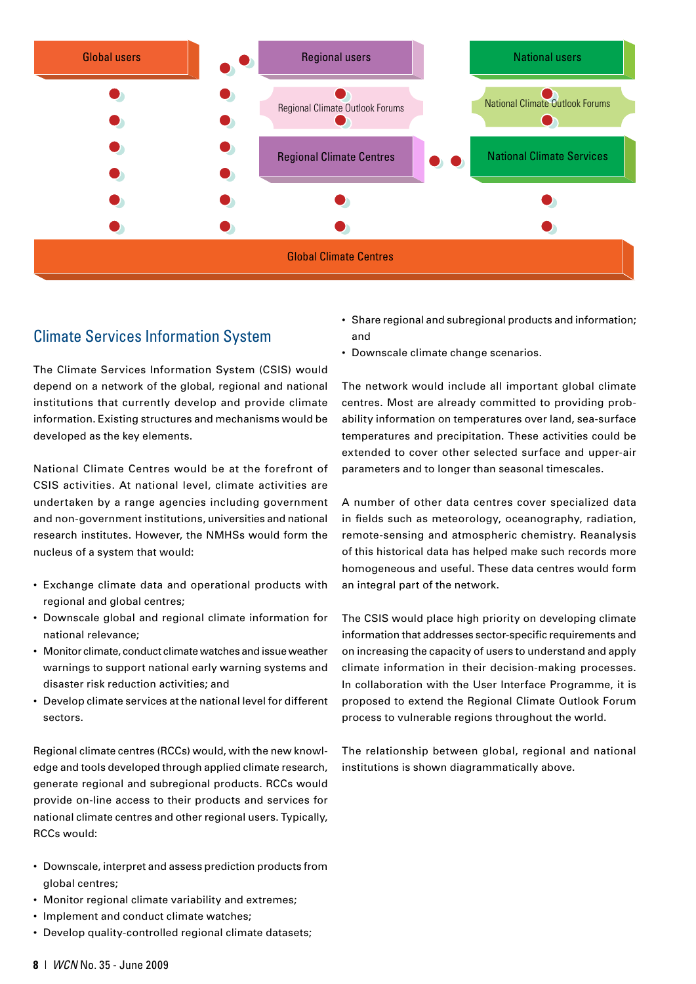

#### Climate Services Information System

The Climate Services Information System (CSIS) would depend on a network of the global, regional and national institutions that currently develop and provide climate information. Existing structures and mechanisms would be developed as the key elements.

National Climate Centres would be at the forefront of CSIS activities. At national level, climate activities are undertaken by a range agencies including government and non-government institutions, universities and national research institutes. However, the NMHSs would form the nucleus of a system that would:

- Exchange climate data and operational products with regional and global centres;
- Downscale global and regional climate information for national relevance;
- Monitor climate, conduct climate watches and issue weather warnings to support national early warning systems and disaster risk reduction activities; and
- Develop climate services at the national level for different sectors.

Regional climate centres (RCCs) would, with the new knowledge and tools developed through applied climate research, generate regional and subregional products. RCCs would provide on-line access to their products and services for national climate centres and other regional users. Typically, RCCs would:

- Downscale, interpret and assess prediction products from global centres;
- Monitor regional climate variability and extremes;
- Implement and conduct climate watches;
- Develop quality-controlled regional climate datasets;
- Share regional and subregional products and information; and
- Downscale climate change scenarios.

The network would include all important global climate centres. Most are already committed to providing probability information on temperatures over land, sea-surface temperatures and precipitation. These activities could be extended to cover other selected surface and upper-air parameters and to longer than seasonal timescales.

A number of other data centres cover specialized data in fields such as meteorology, oceanography, radiation, remote-sensing and atmospheric chemistry. Reanalysis of this historical data has helped make such records more homogeneous and useful. These data centres would form an integral part of the network.

The CSIS would place high priority on developing climate information that addresses sector-specific requirements and on increasing the capacity of users to understand and apply climate information in their decision-making processes. In collaboration with the User Interface Programme, it is proposed to extend the Regional Climate Outlook Forum process to vulnerable regions throughout the world.

The relationship between global, regional and national institutions is shown diagrammatically above.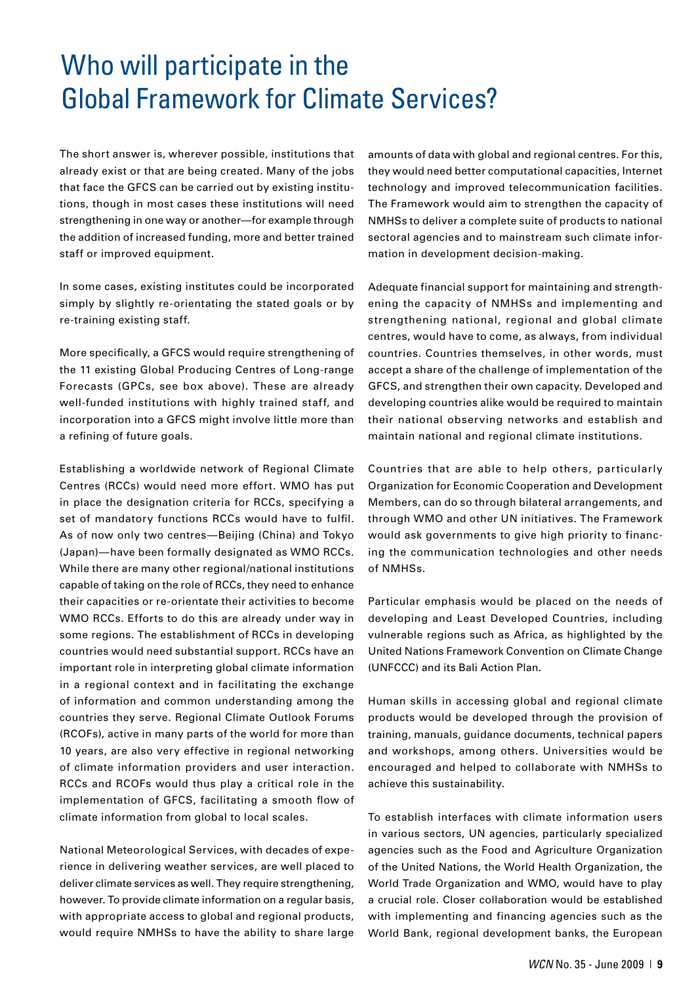## Who will participate in the Global Framework for Climate Services?

The short answer is, wherever possible, institutions that already exist or that are being created. Many of the jobs that face the GFCS can be carried out by existing institutions, though in most cases these institutions will need strengthening in one way or another—for example through the addition of increased funding, more and better trained staff or improved equipment.

In some cases, existing institutes could be incorporated simply by slightly re-orientating the stated goals or by re-training existing staff.

More specifically, a GFCS would require strengthening of the 11 existing Global Producing Centres of Long-range Forecasts (GPCs, see box above). These are already well-funded institutions with highly trained staff, and incorporation into a GFCS might involve little more than a refining of future goals.

Establishing a worldwide network of Regional Climate Centres (RCCs) would need more effort. WMO has put in place the designation criteria for RCCs, specifying a set of mandatory functions RCCs would have to fulfil. As of now only two centres—Beijing (China) and Tokyo (Japan)—have been formally designated as WMO RCCs. While there are many other regional/national institutions capable of taking on the role of RCCs, they need to enhance their capacities or re-orientate their activities to become WMO RCCs. Efforts to do this are already under way in some regions. The establishment of RCCs in developing countries would need substantial support. RCCs have an important role in interpreting global climate information in a regional context and in facilitating the exchange of information and common understanding among the countries they serve. Regional Climate Outlook Forums (RCOFs), active in many parts of the world for more than 10 years, are also very effective in regional networking of climate information providers and user interaction. RCCs and RCOFs would thus play a critical role in the implementation of GFCS, facilitating a smooth flow of climate information from global to local scales.

National Meteorological Services, with decades of experience in delivering weather services, are well placed to deliver climate services as well. They require strengthening, however. To provide climate information on a regular basis, with appropriate access to global and regional products, would require NMHSs to have the ability to share large

amounts of data with global and regional centres. For this, they would need better computational capacities, Internet technology and improved telecommunication facilities. The Framework would aim to strengthen the capacity of NMHSs to deliver a complete suite of products to national sectoral agencies and to mainstream such climate information in development decision-making.

Adequate financial support for maintaining and strengthening the capacity of NMHSs and implementing and strengthening national, regional and global climate centres, would have to come, as always, from individual countries. Countries themselves, in other words, must accept a share of the challenge of implementation of the GFCS, and strengthen their own capacity. Developed and developing countries alike would be required to maintain their national observing networks and establish and maintain national and regional climate institutions.

Countries that are able to help others, particularly Organization for Economic Cooperation and Development Members, can do so through bilateral arrangements, and through WMO and other UN initiatives. The Framework would ask governments to give high priority to financing the communication technologies and other needs of NMHSs.

Particular emphasis would be placed on the needs of developing and Least Developed Countries, including vulnerable regions such as Africa, as highlighted by the United Nations Framework Convention on Climate Change (UNFCCC) and its Bali Action Plan.

Human skills in accessing global and regional climate products would be developed through the provision of training, manuals, guidance documents, technical papers and workshops, among others. Universities would be encouraged and helped to collaborate with NMHSs to achieve this sustainability.

To establish interfaces with climate information users in various sectors, UN agencies, particularly specialized agencies such as the Food and Agriculture Organization of the United Nations, the World Health Organization, the World Trade Organization and WMO, would have to play a crucial role. Closer collaboration would be established with implementing and financing agencies such as the World Bank, regional development banks, the European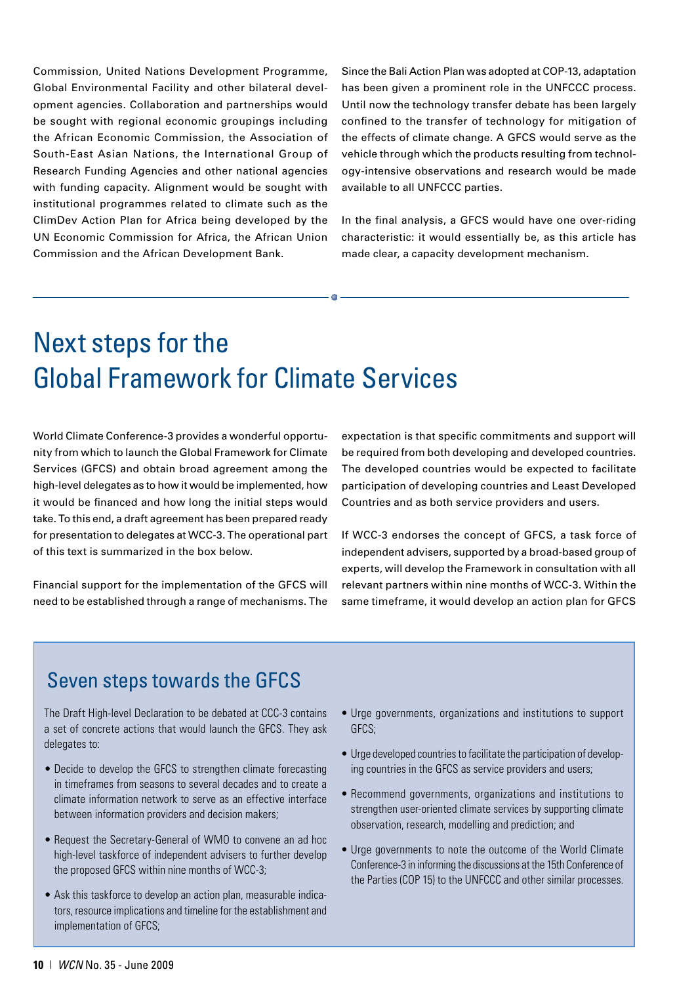Commission, United Nations Development Programme, Global Environmental Facility and other bilateral development agencies. Collaboration and partnerships would be sought with regional economic groupings including the African Economic Commission, the Association of South-East Asian Nations, the International Group of Research Funding Agencies and other national agencies with funding capacity. Alignment would be sought with institutional programmes related to climate such as the ClimDev Action Plan for Africa being developed by the UN Economic Commission for Africa, the African Union Commission and the African Development Bank.

Since the Bali Action Plan was adopted at COP-13, adaptation has been given a prominent role in the UNFCCC process. Until now the technology transfer debate has been largely confined to the transfer of technology for mitigation of the effects of climate change. A GFCS would serve as the vehicle through which the products resulting from technology-intensive observations and research would be made available to all UNFCCC parties.

In the final analysis, a GFCS would have one over-riding characteristic: it would essentially be, as this article has made clear, a capacity development mechanism.

## Next steps for the Global Framework for Climate Services

World Climate Conference-3 provides a wonderful opportunity from which to launch the Global Framework for Climate Services (GFCS) and obtain broad agreement among the high-level delegates as to how it would be implemented, how it would be financed and how long the initial steps would take. To this end, a draft agreement has been prepared ready for presentation to delegates at WCC-3. The operational part of this text is summarized in the box below.

Financial support for the implementation of the GFCS will need to be established through a range of mechanisms. The

expectation is that specific commitments and support will be required from both developing and developed countries. The developed countries would be expected to facilitate participation of developing countries and Least Developed Countries and as both service providers and users.

If WCC-3 endorses the concept of GFCS, a task force of independent advisers, supported by a broad-based group of experts, will develop the Framework in consultation with all relevant partners within nine months of WCC-3. Within the same timeframe, it would develop an action plan for GFCS

#### Seven steps towards the GFCS

The Draft High-level Declaration to be debated at CCC-3 contains a set of concrete actions that would launch the GFCS. They ask delegates to:

- Decide to develop the GFCS to strengthen climate forecasting in timeframes from seasons to several decades and to create a climate information network to serve as an effective interface between information providers and decision makers;
- Request the Secretary-General of WMO to convene an ad hoc high-level taskforce of independent advisers to further develop the proposed GFCS within nine months of WCC-3;
- Ask this taskforce to develop an action plan, measurable indicators, resource implications and timeline for the establishment and implementation of GFCS;
- Urge governments, organizations and institutions to support GFCS;
- Urge developed countries to facilitate the participation of developing countries in the GFCS as service providers and users;
- Recommend governments, organizations and institutions to strengthen user-oriented climate services by supporting climate observation, research, modelling and prediction; and
- Urge governments to note the outcome of the World Climate Conference-3 in informing the discussions at the 15th Conference of the Parties (COP 15) to the UNFCCC and other similar processes.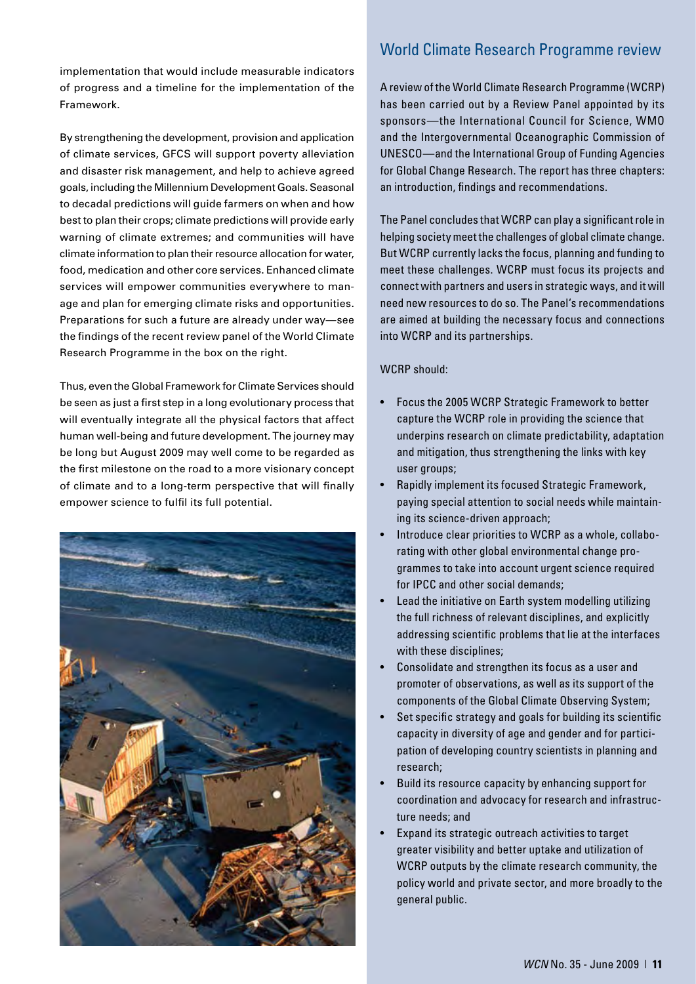implementation that would include measurable indicators of progress and a timeline for the implementation of the Framework.

By strengthening the development, provision and application of climate services, GFCS will support poverty alleviation and disaster risk management, and help to achieve agreed goals, including the Millennium Development Goals. Seasonal to decadal predictions will guide farmers on when and how best to plan their crops; climate predictions will provide early warning of climate extremes; and communities will have climate information to plan their resource allocation for water, food, medication and other core services. Enhanced climate services will empower communities everywhere to manage and plan for emerging climate risks and opportunities. Preparations for such a future are already under way—see the findings of the recent review panel of the World Climate Research Programme in the box on the right.

Thus, even the Global Framework for Climate Services should be seen as just a first step in a long evolutionary process that will eventually integrate all the physical factors that affect human well-being and future development. The journey may be long but August 2009 may well come to be regarded as the first milestone on the road to a more visionary concept of climate and to a long-term perspective that will finally empower science to fulfil its full potential.



#### World Climate Research Programme review

A review of the World Climate Research Programme (WCRP) has been carried out by a Review Panel appointed by its sponsors—the International Council for Science, WMO and the Intergovernmental Oceanographic Commission of UNESCO—and the International Group of Funding Agencies for Global Change Research. The report has three chapters: an introduction, findings and recommendations.

The Panel concludes that WCRP can play a significant role in helping society meet the challenges of global climate change. But WCRP currently lacks the focus, planning and funding to meet these challenges. WCRP must focus its projects and connect with partners and users in strategic ways, and it will need new resources to do so. The Panel's recommendations are aimed at building the necessary focus and connections into WCRP and its partnerships.

#### WCRP should:

- Focus the 2005 WCRP Strategic Framework to better capture the WCRP role in providing the science that underpins research on climate predictability, adaptation and mitigation, thus strengthening the links with key user groups;
- Rapidly implement its focused Strategic Framework, paying special attention to social needs while maintaining its science-driven approach;
- Introduce clear priorities to WCRP as a whole, collaborating with other global environmental change programmes to take into account urgent science required for IPCC and other social demands;
- Lead the initiative on Earth system modelling utilizing the full richness of relevant disciplines, and explicitly addressing scientific problems that lie at the interfaces with these disciplines;
- Consolidate and strengthen its focus as a user and promoter of observations, as well as its support of the components of the Global Climate Observing System;
- Set specific strategy and goals for building its scientific capacity in diversity of age and gender and for participation of developing country scientists in planning and research;
- Build its resource capacity by enhancing support for coordination and advocacy for research and infrastructure needs; and
- Expand its strategic outreach activities to target greater visibility and better uptake and utilization of WCRP outputs by the climate research community, the policy world and private sector, and more broadly to the general public.